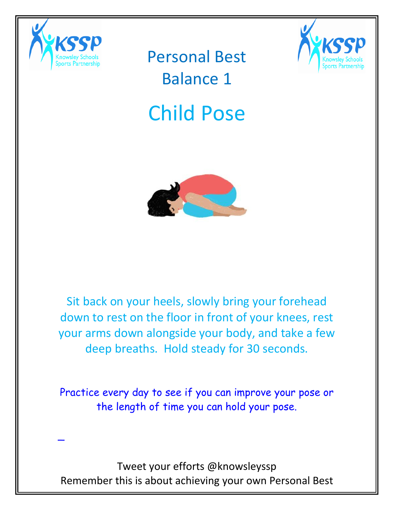

\_

Personal Best Balance 1



# Child Pose



Sit back on your heels, slowly bring your forehead down to rest on the floor in front of your knees, rest your arms down alongside your body, and take a few deep breaths. Hold steady for 30 seconds.

Practice every day to see if you can improve your pose or the length of time you can hold your pose.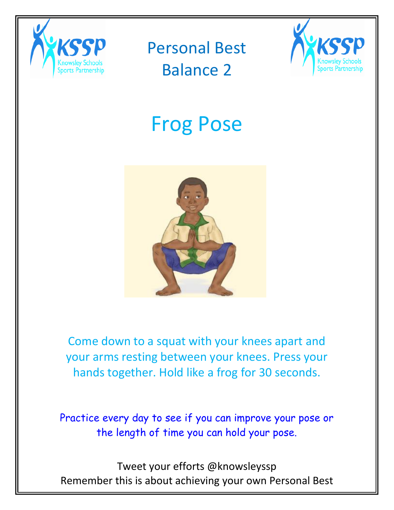



# Frog Pose



Come down to a squat with your knees apart and your arms resting between your knees. Press your hands together. Hold like a frog for 30 seconds.

Practice every day to see if you can improve your pose or the length of time you can hold your pose.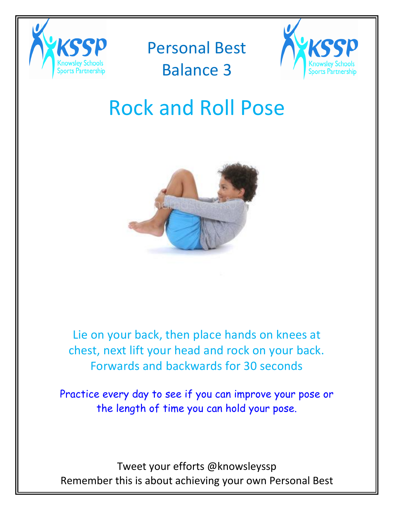

### Personal Best

### Balance 3



### Rock and Roll Pose



Lie on your back, then place hands on knees at chest, next lift your head and rock on your back. Forwards and backwards for 30 seconds

Practice every day to see if you can improve your pose or the length of time you can hold your pose.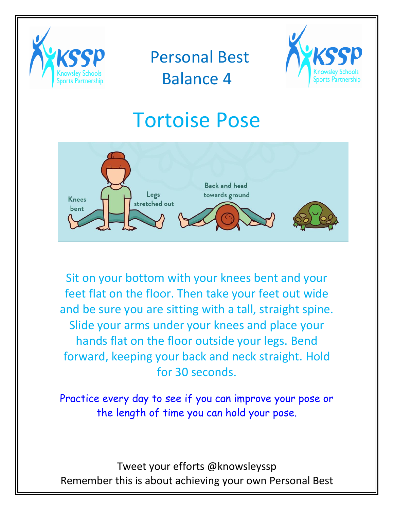



### Tortoise Pose



Sit on your bottom with your knees bent and your feet flat on the floor. Then take your feet out wide and be sure you are sitting with a tall, straight spine. Slide your arms under your knees and place your hands flat on the floor outside your legs. Bend forward, keeping your back and neck straight. Hold for 30 seconds.

Practice every day to see if you can improve your pose or the length of time you can hold your pose.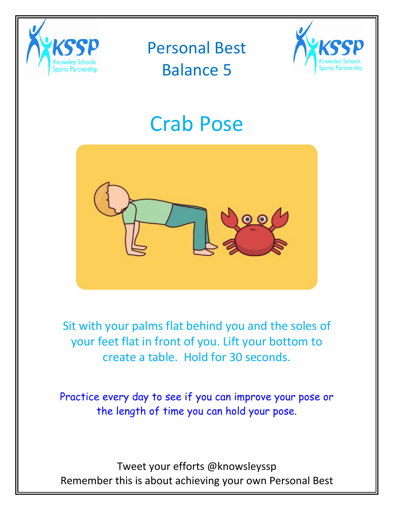



# Crab Pose



Sit with your palms flat behind you and the soles of your feet flat in front of you. Lift your bottom to create a table. Hold for 30 seconds.

Practice every day to see if you can improve your pose or the length of time you can hold your pose.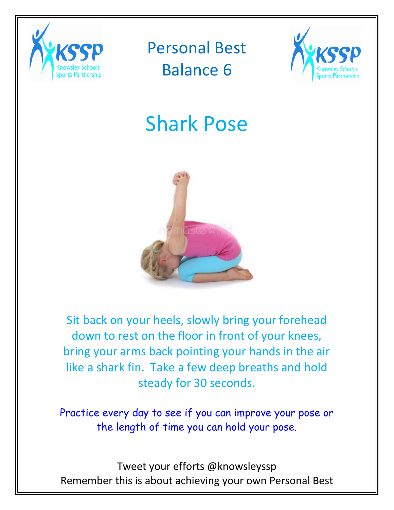



# Shark Pose



Sit back on your heels, slowly bring your forehead down to rest on the floor in front of your knees, bring your arms back pointing your hands in the air like a shark fin. Take a few deep breaths and hold steady for 30 seconds.

Practice every day to see if you can improve your pose or the length of time you can hold your pose.